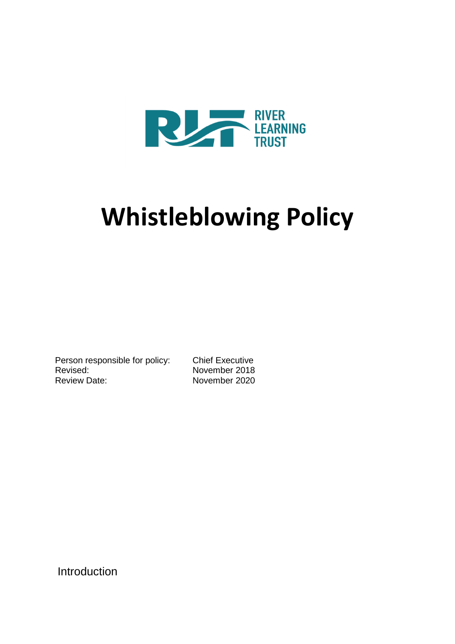

# **Whistleblowing Policy**

Person responsible for policy: Chief Executive Revised: November 2018<br>Review Date: November 2020

November 2020

Introduction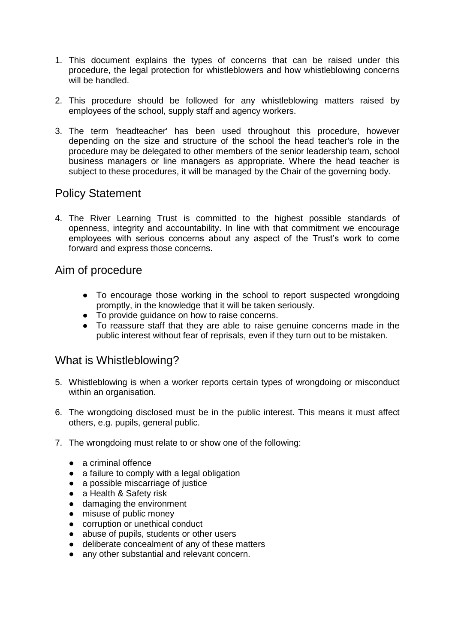- 1. This document explains the types of concerns that can be raised under this procedure, the legal protection for whistleblowers and how whistleblowing concerns will be handled.
- 2. This procedure should be followed for any whistleblowing matters raised by employees of the school, supply staff and agency workers.
- 3. The term 'headteacher' has been used throughout this procedure, however depending on the size and structure of the school the head teacher's role in the procedure may be delegated to other members of the senior leadership team, school business managers or line managers as appropriate. Where the head teacher is subject to these procedures, it will be managed by the Chair of the governing body.

#### Policy Statement

4. The River Learning Trust is committed to the highest possible standards of openness, integrity and accountability. In line with that commitment we encourage employees with serious concerns about any aspect of the Trust's work to come forward and express those concerns.

#### Aim of procedure

- To encourage those working in the school to report suspected wrongdoing promptly, in the knowledge that it will be taken seriously.
- To provide guidance on how to raise concerns.
- To reassure staff that they are able to raise genuine concerns made in the public interest without fear of reprisals, even if they turn out to be mistaken.

#### What is Whistleblowing?

- 5. Whistleblowing is when a worker reports certain types of wrongdoing or misconduct within an organisation.
- 6. The wrongdoing disclosed must be in the public interest. This means it must affect others, e.g. pupils, general public.
- 7. The wrongdoing must relate to or show one of the following:
	- a criminal offence
	- a failure to comply with a legal obligation
	- a possible miscarriage of justice
	- a Health & Safety risk
	- damaging the environment
	- misuse of public money
	- corruption or unethical conduct
	- abuse of pupils, students or other users
	- deliberate concealment of any of these matters
	- any other substantial and relevant concern.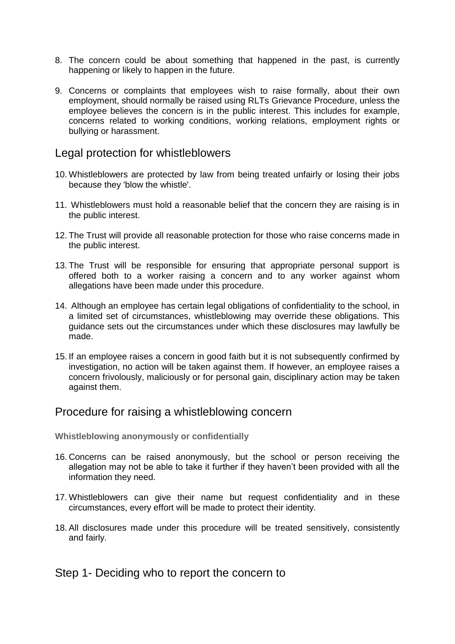- 8. The concern could be about something that happened in the past, is currently happening or likely to happen in the future.
- 9. Concerns or complaints that employees wish to raise formally, about their own employment, should normally be raised using RLTs Grievance Procedure, unless the employee believes the concern is in the public interest. This includes for example, concerns related to working conditions, working relations, employment rights or bullying or harassment.

#### Legal protection for whistleblowers

- 10. Whistleblowers are protected by law from being treated unfairly or losing their jobs because they 'blow the whistle'.
- 11. Whistleblowers must hold a reasonable belief that the concern they are raising is in the public interest.
- 12. The Trust will provide all reasonable protection for those who raise concerns made in the public interest.
- 13. The Trust will be responsible for ensuring that appropriate personal support is offered both to a worker raising a concern and to any worker against whom allegations have been made under this procedure.
- 14. Although an employee has certain legal obligations of confidentiality to the school, in a limited set of circumstances, whistleblowing may override these obligations. This guidance sets out the circumstances under which these disclosures may lawfully be made.
- 15. If an employee raises a concern in good faith but it is not subsequently confirmed by investigation, no action will be taken against them. If however, an employee raises a concern frivolously, maliciously or for personal gain, disciplinary action may be taken against them.

#### Procedure for raising a whistleblowing concern

**Whistleblowing anonymously or confidentially** 

- 16. Concerns can be raised anonymously, but the school or person receiving the allegation may not be able to take it further if they haven't been provided with all the information they need.
- 17. Whistleblowers can give their name but request confidentiality and in these circumstances, every effort will be made to protect their identity.
- 18. All disclosures made under this procedure will be treated sensitively, consistently and fairly.

#### Step 1- Deciding who to report the concern to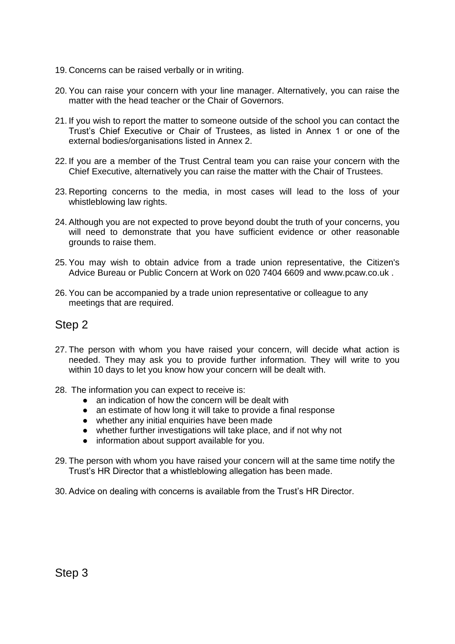- 19. Concerns can be raised verbally or in writing.
- 20. You can raise your concern with your line manager. Alternatively, you can raise the matter with the head teacher or the Chair of Governors.
- 21. If you wish to report the matter to someone outside of the school you can contact the Trust's Chief Executive or Chair of Trustees, as listed in Annex 1 or one of the external bodies/organisations listed in Annex 2.
- 22. If you are a member of the Trust Central team you can raise your concern with the Chief Executive, alternatively you can raise the matter with the Chair of Trustees.
- 23. Reporting concerns to the media, in most cases will lead to the loss of your whistleblowing law rights.
- 24. Although you are not expected to prove beyond doubt the truth of your concerns, you will need to demonstrate that you have sufficient evidence or other reasonable grounds to raise them.
- 25. You may wish to obtain advice from a trade union representative, the Citizen's Advice Bureau or Public Concern at Work on 020 7404 6609 and www.pcaw.co.uk .
- 26. You can be accompanied by a trade union representative or colleague to any meetings that are required.

#### Step 2

- 27. The person with whom you have raised your concern, will decide what action is needed. They may ask you to provide further information. They will write to you within 10 days to let you know how your concern will be dealt with.
- 28. The information you can expect to receive is:
	- an indication of how the concern will be dealt with
	- an estimate of how long it will take to provide a final response
	- whether any initial enquiries have been made
	- whether further investigations will take place, and if not why not
	- information about support available for you.
- 29. The person with whom you have raised your concern will at the same time notify the Trust's HR Director that a whistleblowing allegation has been made.
- 30. Advice on dealing with concerns is available from the Trust's HR Director.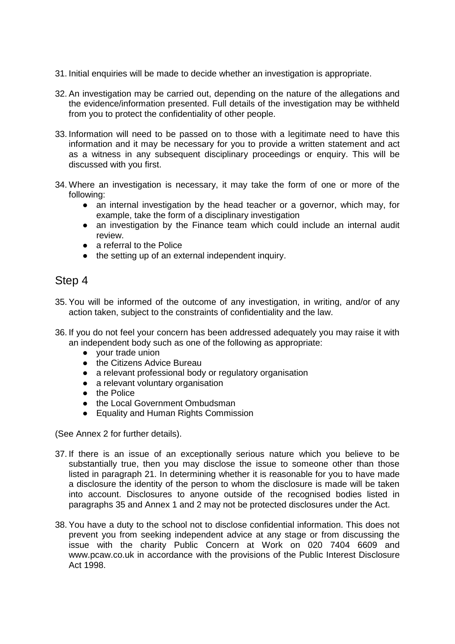- 31. Initial enquiries will be made to decide whether an investigation is appropriate.
- 32. An investigation may be carried out, depending on the nature of the allegations and the evidence/information presented. Full details of the investigation may be withheld from you to protect the confidentiality of other people.
- 33. Information will need to be passed on to those with a legitimate need to have this information and it may be necessary for you to provide a written statement and act as a witness in any subsequent disciplinary proceedings or enquiry. This will be discussed with you first.
- 34. Where an investigation is necessary, it may take the form of one or more of the following:
	- an internal investigation by the head teacher or a governor, which may, for example, take the form of a disciplinary investigation
	- an investigation by the Finance team which could include an internal audit review.
	- a referral to the Police
	- the setting up of an external independent inquiry.

#### Step 4

- 35. You will be informed of the outcome of any investigation, in writing, and/or of any action taken, subject to the constraints of confidentiality and the law.
- 36. If you do not feel your concern has been addressed adequately you may raise it with an independent body such as one of the following as appropriate:
	- your trade union
	- the Citizens Advice Bureau
	- a relevant professional body or regulatory organisation
	- a relevant voluntary organisation
	- the Police
	- the Local Government Ombudsman
	- Equality and Human Rights Commission

(See Annex 2 for further details).

- 37. If there is an issue of an exceptionally serious nature which you believe to be substantially true, then you may disclose the issue to someone other than those listed in paragraph 21. In determining whether it is reasonable for you to have made a disclosure the identity of the person to whom the disclosure is made will be taken into account. Disclosures to anyone outside of the recognised bodies listed in paragraphs 35 and Annex 1 and 2 may not be protected disclosures under the Act.
- 38. You have a duty to the school not to disclose confidential information. This does not prevent you from seeking independent advice at any stage or from discussing the issue with the charity Public Concern at Work on 020 7404 6609 and www.pcaw.co.uk in accordance with the provisions of the Public Interest Disclosure Act 1998.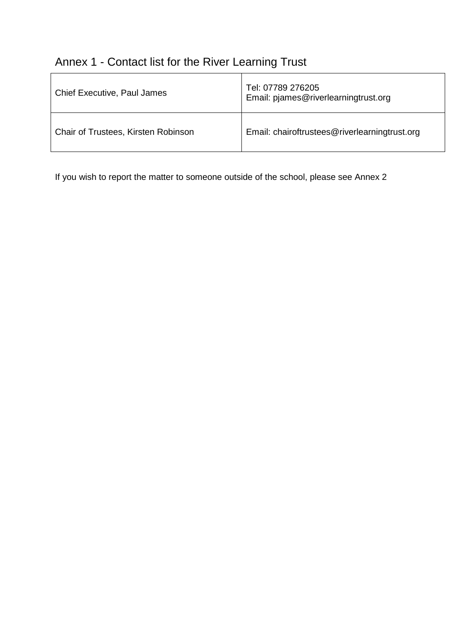## Annex 1 - Contact list for the River Learning Trust

| <b>Chief Executive, Paul James</b>  | Tel: 07789 276205<br>Email: pjames@riverlearningtrust.org |
|-------------------------------------|-----------------------------------------------------------|
| Chair of Trustees, Kirsten Robinson | Email: chairoftrustees@riverlearningtrust.org             |

If you wish to report the matter to someone outside of the school, please see Annex 2